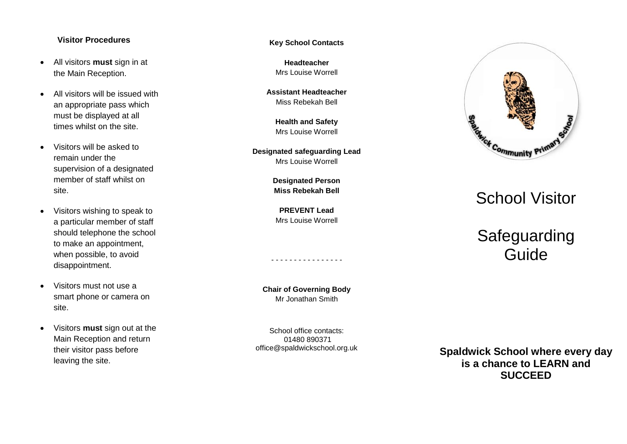#### **Visitor Procedures**

- All visitors **must** sign in at the Main Reception.
- All visitors will be issued with an appropriate pass which must be displayed at all times whilst on the site.
- Visitors will be asked to remain under the supervision of a designated member of staff whilst on site.
- Visitors wishing to speak to a particular member of staff should telephone the school to make an appointment, when possible, to avoid disappointment.
- Visitors must not use a smart phone or camera on site.
- Visitors **must** sign out at the Main Reception and return their visitor pass before leaving the site.

**Key School Contacts**

**Headteacher** Mrs Louise Worrell

**Assistant Headteacher** Miss Rebekah Bell

> **Health and Safety** Mrs Louise Worrell

**Designated safeguarding Lead** Mrs Louise Worrell

> **Designated Person Miss Rebekah Bell**

**PREVENT Lead** Mrs Louise Worrell

**Chair of Governing Body** Mr Jonathan Smith

-------------

- -

School office contacts: 01480 890371 office@spaldwickschool.org.uk



# School Visitor

# Safeguarding Guide

**Spaldwick School where every day is a chance to LEARN and SUCCEED**